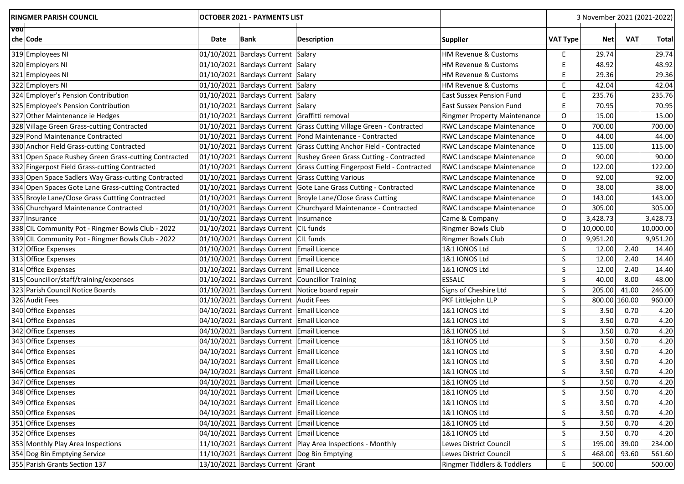| <b>RINGMER PARISH COUNCIL</b>                        | <b>OCTOBER 2021 - PAYMENTS LIST</b> |                                               |                                                                         |                                  | 3 November 2021 (2021-2022) |            |            |              |
|------------------------------------------------------|-------------------------------------|-----------------------------------------------|-------------------------------------------------------------------------|----------------------------------|-----------------------------|------------|------------|--------------|
| <b>Vou</b>                                           |                                     |                                               |                                                                         |                                  |                             |            |            |              |
| chelCode                                             | Date                                | Bank                                          | <b>Description</b>                                                      | <b>Supplier</b>                  | <b>VAT Type</b>             | <b>Net</b> | <b>VAT</b> | <b>Total</b> |
| 319 Employees NI                                     |                                     | 01/10/2021 Barclays Current Salary            |                                                                         | HM Revenue & Customs             | E,                          | 29.74      |            | 29.74        |
| 320 Employers NI                                     |                                     | 01/10/2021 Barclays Current Salary            |                                                                         | HM Revenue & Customs             | E                           | 48.92      |            | 48.92        |
| 321 Employees NI                                     |                                     | 01/10/2021 Barclays Current Salary            |                                                                         | HM Revenue & Customs             | E.                          | 29.36      |            | 29.36        |
| 322 Employers NI                                     |                                     | 01/10/2021 Barclays Current Salary            |                                                                         | HM Revenue & Customs             | E                           | 42.04      |            | 42.04        |
| 324 Employer's Pension Contribution                  |                                     | 01/10/2021 Barclays Current Salary            |                                                                         | <b>East Sussex Pension Fund</b>  | Е                           | 235.76     |            | 235.76       |
| 325 Employee's Pension Contribution                  |                                     | 01/10/2021 Barclays Current Salary            |                                                                         | <b>East Sussex Pension Fund</b>  | Е                           | 70.95      |            | 70.95        |
| 327 Other Maintenance ie Hedges                      |                                     | 01/10/2021 Barclays Current Graffitti removal |                                                                         | Ringmer Property Maintenance     | O                           | 15.00      |            | 15.00        |
| 328 Village Green Grass-cutting Contracted           |                                     |                                               | 01/10/2021 Barclays Current Grass Cutting Village Green - Contracted    | <b>RWC Landscape Maintenance</b> | 0                           | 700.00     |            | 700.00       |
| 329 Pond Maintenance Contracted                      |                                     |                                               | 01/10/2021 Barclays Current Pond Maintenance - Contracted               | RWC Landscape Maintenance        | 0                           | 44.00      |            | 44.00        |
| 330 Anchor Field Grass-cutting Contracted            |                                     |                                               | 01/10/2021 Barclays Current Grass Cutting Anchor Field - Contracted     | RWC Landscape Maintenance        | O                           | 115.00     |            | 115.00       |
| 331 Open Space Rushey Green Grass-cutting Contracted |                                     |                                               | 01/10/2021 Barclays Current Rushey Green Grass Cutting - Contracted     | <b>RWC Landscape Maintenance</b> | O                           | 90.00      |            | 90.00        |
| 332 Fingerpost Field Grass-cutting Contracted        |                                     |                                               | 01/10/2021 Barclays Current Grass Cutting Fingerpost Field - Contracted | RWC Landscape Maintenance        | 0                           | 122.00     |            | 122.00       |
| 333 Open Space Sadlers Way Grass-cutting Contracted  |                                     |                                               | 01/10/2021 Barclays Current Grass Cutting Various                       | RWC Landscape Maintenance        | 0                           | 92.00      |            | 92.00        |
| 334 Open Spaces Gote Lane Grass-cutting Contracted   |                                     |                                               | 01/10/2021 Barclays Current Gote Lane Grass Cutting - Contracted        | RWC Landscape Maintenance        | $\circ$                     | 38.00      |            | 38.00        |
| 335 Broyle Lane/Close Grass Cuttting Contracted      |                                     |                                               | 01/10/2021 Barclays Current   Broyle Lane/Close Grass Cutting           | RWC Landscape Maintenance        | 0                           | 143.00     |            | 143.00       |
| 336 Churchyard Maintenance Contracted                |                                     |                                               | 01/10/2021 Barclays Current Churchyard Maintenance - Contracted         | RWC Landscape Maintenance        | O                           | 305.00     |            | 305.00       |
| 337 Insurance                                        |                                     | 01/10/2021 Barclays Current   Insurnance      |                                                                         | Came & Company                   | O                           | 3,428.73   |            | 3,428.73     |
| 338 CIL Community Pot - Ringmer Bowls Club - 2022    |                                     | 01/10/2021 Barclays Current CIL funds         |                                                                         | Ringmer Bowls Club               | 0                           | 10,000.00  |            | 10,000.00    |
| 339 CIL Community Pot - Ringmer Bowls Club - 2022    |                                     | 01/10/2021 Barclays Current CIL funds         |                                                                         | Ringmer Bowls Club               | 0                           | 9,951.20   |            | 9,951.20     |
| 312 Office Expenses                                  |                                     | 01/10/2021 Barclays Current Email Licence     |                                                                         | 1&1 IONOS Ltd                    | S                           | 12.00      | 2.40       | 14.40        |
| 313 Office Expenses                                  |                                     | 01/10/2021 Barclays Current Email Licence     |                                                                         | 1&1 IONOS Ltd                    | S                           | 12.00      | 2.40       | 14.40        |
| 314 Office Expenses                                  |                                     | 01/10/2021 Barclays Current Email Licence     |                                                                         | 1&1 IONOS Ltd                    | S                           | 12.00      | 2.40       | 14.40        |
| 315 Councillor/staff/training/expenses               |                                     |                                               | 01/10/2021 Barclays Current Councillor Training                         | <b>ESSALC</b>                    | S                           | 40.00      | 8.00       | 48.00        |
| 323 Parish Council Notice Boards                     |                                     |                                               | 01/10/2021 Barclays Current Notice board repair                         | Signs of Cheshire Ltd            | S                           | 205.00     | 41.00      | 246.00       |
| 326 Audit Fees                                       |                                     | 01/10/2021 Barclays Current Audit Fees        |                                                                         | PKF Littlejohn LLP               | S                           | 800.00     | 160.00     | 960.00       |
| 340 Office Expenses                                  |                                     | 04/10/2021 Barclays Current Email Licence     |                                                                         | 1&1 IONOS Ltd                    | S                           | 3.50       | 0.70       | 4.20         |
| 341 Office Expenses                                  |                                     | 04/10/2021 Barclays Current Email Licence     |                                                                         | 1&1 IONOS Ltd                    | S                           | 3.50       | 0.70       | 4.20         |
| 342 Office Expenses                                  |                                     | 04/10/2021 Barclays Current Email Licence     |                                                                         | 1&1 IONOS Ltd                    | S                           | 3.50       | 0.70       | 4.20         |
| 343 Office Expenses                                  |                                     | 04/10/2021 Barclays Current Email Licence     |                                                                         | 1&1 IONOS Ltd                    | S                           | 3.50       | 0.70       | 4.20         |
| 344 Office Expenses                                  |                                     | 04/10/2021 Barclays Current Email Licence     |                                                                         | 1&1 IONOS Ltd                    | S                           | 3.50       | 0.70       | 4.20         |
| 345 Office Expenses                                  |                                     | 04/10/2021 Barclays Current Email Licence     |                                                                         | 1&1 IONOS Ltd                    | $\sf S$                     | 3.50       | 0.70       | 4.20         |
| 346 Office Expenses                                  |                                     | 04/10/2021 Barclays Current Email Licence     |                                                                         | 1&1 IONOS Ltd                    | S                           | 3.50       | 0.70       | 4.20         |
| 347 Office Expenses                                  |                                     | 04/10/2021 Barclays Current Email Licence     |                                                                         | 1&1 IONOS Ltd                    | S                           | 3.50       | 0.70       | 4.20         |
| 348 Office Expenses                                  |                                     | 04/10/2021 Barclays Current Email Licence     |                                                                         | 1&1 IONOS Ltd                    | S                           | 3.50       | 0.70       | 4.20         |
| 349 Office Expenses                                  |                                     | 04/10/2021 Barclays Current Email Licence     |                                                                         | 1&1 IONOS Ltd                    | S                           | 3.50       | 0.70       | 4.20         |
| 350 Office Expenses                                  |                                     | 04/10/2021 Barclays Current Email Licence     |                                                                         | 1&1 IONOS Ltd                    | $\sf S$                     | 3.50       | 0.70       | 4.20         |
| 351 Office Expenses                                  |                                     | 04/10/2021 Barclays Current Email Licence     |                                                                         | 1&1 IONOS Ltd                    | $\sf S$                     | 3.50       | 0.70       | 4.20         |
| 352 Office Expenses                                  |                                     | 04/10/2021 Barclays Current Email Licence     |                                                                         | 1&1 IONOS Ltd                    | S                           | 3.50       | 0.70       | 4.20         |
| 353 Monthly Play Area Inspections                    |                                     |                                               | 11/10/2021 Barclays Current   Play Area Inspections - Monthly           | Lewes District Council           | S                           | 195.00     | 39.00      | 234.00       |
| 354 Dog Bin Emptying Service                         |                                     |                                               | 11/10/2021 Barclays Current Dog Bin Emptying                            | Lewes District Council           | S                           | 468.00     | 93.60      | 561.60       |
| 355 Parish Grants Section 137                        |                                     | 13/10/2021 Barclays Current Grant             |                                                                         | Ringmer Tiddlers & Toddlers      | E                           | 500.00     |            | 500.00       |